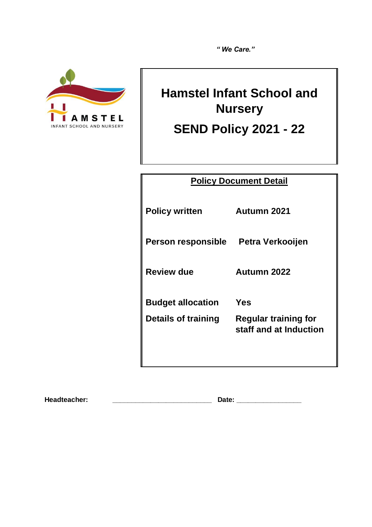*" We Care."* 



# **Hamstel Infant School and Nursery**

**SEND Policy 2021 - 22**

| <b>Policy Document Detail</b> |                                                       |
|-------------------------------|-------------------------------------------------------|
| <b>Policy written</b>         | Autumn 2021                                           |
| <b>Person responsible</b>     | Petra Verkooijen                                      |
| <b>Review due</b>             | Autumn 2022                                           |
| <b>Budget allocation</b>      | Yes                                                   |
| Details of training           | <b>Regular training for</b><br>staff and at Induction |
|                               |                                                       |

**Headteacher: \_\_\_\_\_\_\_\_\_\_\_\_\_\_\_\_\_\_\_\_\_\_\_\_\_\_ Date: \_\_\_\_\_\_\_\_\_\_\_\_\_\_\_\_\_**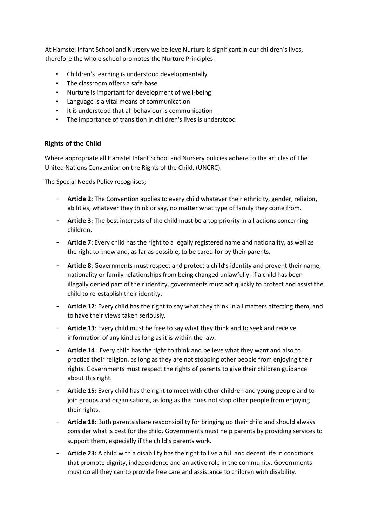At Hamstel Infant School and Nursery we believe Nurture is significant in our children's lives, therefore the whole school promotes the Nurture Principles:

- Children's learning is understood developmentally
- The classroom offers a safe base
- Nurture is important for development of well-being
- Language is a vital means of communication
- It is understood that all behaviour is communication
- The importance of transition in children's lives is understood

#### **Rights of the Child**

Where appropriate all Hamstel Infant School and Nursery policies adhere to the articles of The United Nations Convention on the Rights of the Child. (UNCRC).

The Special Needs Policy recognises;

- **Article 2:** The Convention applies to every child whatever their ethnicity, gender, religion, abilities, whatever they think or say, no matter what type of family they come from.
- **Article 3:** The best interests of the child must be a top priority in all actions concerning children.
- **Article 7**: Every child has the right to a legally registered name and nationality, as well as the right to know and, as far as possible, to be cared for by their parents.
- **Article 8**: Governments must respect and protect a child's identity and prevent their name, nationality or family relationships from being changed unlawfully. If a child has been illegally denied part of their identity, governments must act quickly to protect and assist the child to re-establish their identity.
- **Article 12**: Every child has the right to say what they think in all matters affecting them, and to have their views taken seriously.
- **Article 13**: Every child must be free to say what they think and to seek and receive information of any kind as long as it is within the law.
- **Article 14** : Every child has the right to think and believe what they want and also to practice their religion, as long as they are not stopping other people from enjoying their rights. Governments must respect the rights of parents to give their children guidance about this right.
- Article 15: Every child has the right to meet with other children and young people and to join groups and organisations, as long as this does not stop other people from enjoying their rights.
- **Article 18:** Both parents share responsibility for bringing up their child and should always consider what is best for the child. Governments must help parents by providing services to support them, especially if the child's parents work.
- **Article 23:** A child with a disability has the right to live a full and decent life in conditions that promote dignity, independence and an active role in the community. Governments must do all they can to provide free care and assistance to children with disability.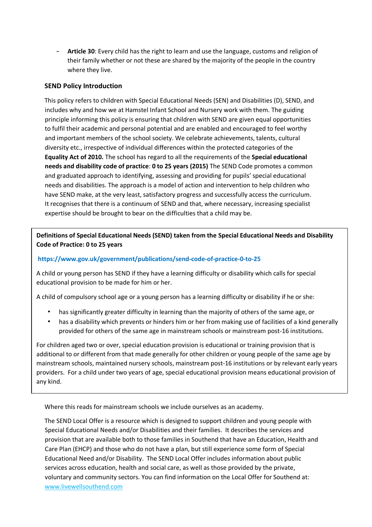- **Article 30**: Every child has the right to learn and use the language, customs and religion of their family whether or not these are shared by the majority of the people in the country where they live.

# **SEND Policy Introduction**

This policy refers to children with Special Educational Needs (SEN) and Disabilities (D), SEND, and includes why and how we at Hamstel Infant School and Nursery work with them. The guiding principle informing this policy is ensuring that children with SEND are given equal opportunities to fulfil their academic and personal potential and are enabled and encouraged to feel worthy and important members of the school society. We celebrate achievements, talents, cultural diversity etc., irrespective of individual differences within the protected categories of the **Equality Act of 2010.** The school has regard to all the requirements of the **Special educational needs and disability code of practice**: **0 to 25 years (2015)** The SEND Code promotes a common and graduated approach to identifying, assessing and providing for pupils' special educational needs and disabilities. The approach is a model of action and intervention to help children who have SEND make, at the very least, satisfactory progress and successfully access the curriculum. It recognises that there is a continuum of SEND and that, where necessary, increasing specialist expertise should be brought to bear on the difficulties that a child may be.

**Definitions of Special Educational Needs (SEND) taken from the Special Educational Needs and Disability Code of Practice: 0 to 25 years** 

#### **[h](https://assets.publishing.service.gov.uk/government/uploads/system/uploads/attachment_data/file/398815/SEND_Code_of_Practice_January_2015.pdf)ttps://www.gov.uk/government/publications/send-code-of-practice-0-to-25**

A child or young person has SEND if they have a learning difficulty or disability which calls for special educational provision to be made for him or her.

A child of compulsory school age or a young person has a learning difficulty or disability if he or she:

- has significantly greater difficulty in learning than the majority of others of the same age, or
- has a disability which prevents or hinders him or her from making use of facilities of a kind generally provided for others of the same age in mainstream schools or mainstream post-16 institutions.

For children aged two or over, special education provision is educational or training provision that is additional to or different from that made generally for other children or young people of the same age by mainstream schools, maintained nursery schools, mainstream post-16 institutions or by relevant early years providers. For a child under two years of age, special educational provision means educational provision of any kind.

Where this reads for mainstream schools we include ourselves as an academy.

The SEND Local Offer is a resource which is designed to support children and young people with Special Educational Needs and/or Disabilities and their families. It describes the services and provision that are available both to those families in Southend that have an Education, Health and Care Plan (EHCP) and those who do not have a plan, but still experience some form of Special Educational Need and/or Disability. The SEND Local Offer includes information about public services across education, health and social care, as well as those provided by the private, voluntary and community sectors. You can find information on the Local Offer for Southend at: www.livewellsouthend.com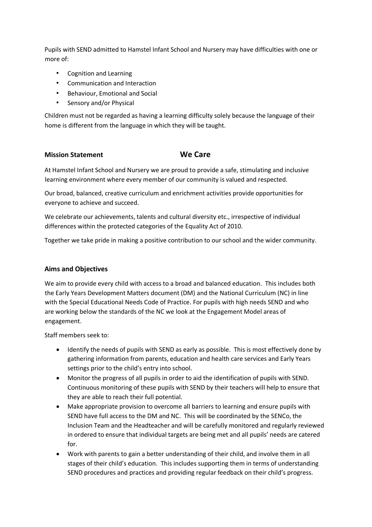Pupils with SEND admitted to Hamstel Infant School and Nursery may have difficulties with one or more of:

- Cognition and Learning
- Communication and Interaction
- Behaviour, Emotional and Social
- Sensory and/or Physical

Children must not be regarded as having a learning difficulty solely because the language of their home is different from the language in which they will be taught.

# **Mission Statement <b>Care We Care**

At Hamstel Infant School and Nursery we are proud to provide a safe, stimulating and inclusive learning environment where every member of our community is valued and respected.

Our broad, balanced, creative curriculum and enrichment activities provide opportunities for everyone to achieve and succeed.

We celebrate our achievements, talents and cultural diversity etc., irrespective of individual differences within the protected categories of the Equality Act of 2010.

Together we take pride in making a positive contribution to our school and the wider community.

#### **Aims and Objectives**

We aim to provide every child with access to a broad and balanced education. This includes both the Early Years Development Matters document (DM) and the National Curriculum (NC) in line with the Special Educational Needs Code of Practice. For pupils with high needs SEND and who are working below the standards of the NC we look at the Engagement Model areas of engagement.

Staff members seek to:

- Identify the needs of pupils with SEND as early as possible. This is most effectively done by gathering information from parents, education and health care services and Early Years settings prior to the child's entry into school.
- Monitor the progress of all pupils in order to aid the identification of pupils with SEND. Continuous monitoring of these pupils with SEND by their teachers will help to ensure that they are able to reach their full potential.
- Make appropriate provision to overcome all barriers to learning and ensure pupils with SEND have full access to the DM and NC. This will be coordinated by the SENCo, the Inclusion Team and the Headteacher and will be carefully monitored and regularly reviewed in ordered to ensure that individual targets are being met and all pupils' needs are catered for.
- Work with parents to gain a better understanding of their child, and involve them in all stages of their child's education. This includes supporting them in terms of understanding SEND procedures and practices and providing regular feedback on their child's progress.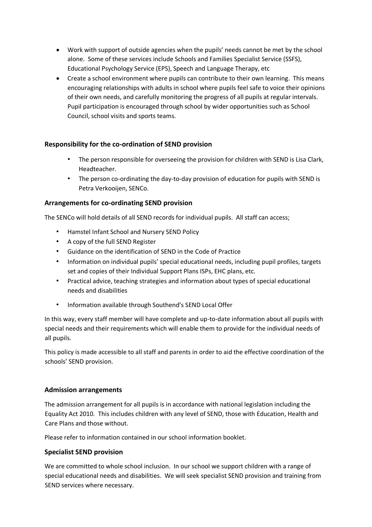- Work with support of outside agencies when the pupils' needs cannot be met by the school alone. Some of these services include Schools and Families Specialist Service (SSFS), Educational Psychology Service (EPS), Speech and Language Therapy, etc
- Create a school environment where pupils can contribute to their own learning. This means encouraging relationships with adults in school where pupils feel safe to voice their opinions of their own needs, and carefully monitoring the progress of all pupils at regular intervals. Pupil participation is encouraged through school by wider opportunities such as School Council, school visits and sports teams.

# **Responsibility for the co-ordination of SEND provision**

- The person responsible for overseeing the provision for children with SEND is Lisa Clark, Headteacher.
- The person co-ordinating the day-to-day provision of education for pupils with SEND is Petra Verkooijen, SENCo.

# **Arrangements for co-ordinating SEND provision**

The SENCo will hold details of all SEND records for individual pupils. All staff can access;

- Hamstel Infant School and Nursery SEND Policy
- A copy of the full SEND Register
- Guidance on the identification of SEND in the Code of Practice
- Information on individual pupils' special educational needs, including pupil profiles, targets set and copies of their Individual Support Plans ISPs, EHC plans, etc.
- Practical advice, teaching strategies and information about types of special educational needs and disabilities
- Information available through Southend's SEND Local Offer

In this way, every staff member will have complete and up-to-date information about all pupils with special needs and their requirements which will enable them to provide for the individual needs of all pupils.

This policy is made accessible to all staff and parents in order to aid the effective coordination of the schools' SEND provision.

#### **Admission arrangements**

The admission arrangement for all pupils is in accordance with national legislation including the Equality Act 2010. This includes children with any level of SEND, those with Education, Health and Care Plans and those without.

Please refer to information contained in our school information booklet.

#### **Specialist SEND provision**

We are committed to whole school inclusion. In our school we support children with a range of special educational needs and disabilities. We will seek specialist SEND provision and training from SEND services where necessary.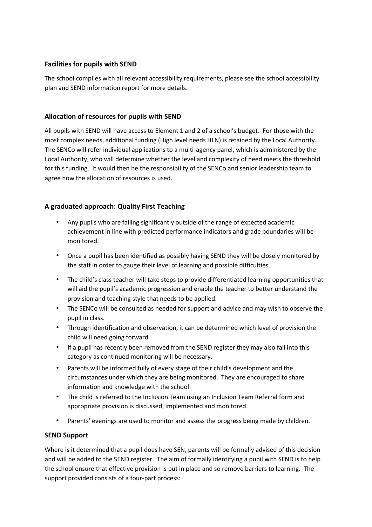# **Facilities for pupils with SEND**

The school complies with all relevant accessibility requirements, please see the school accessibility plan and SEND information report for more details.

### **Allocation of resources for pupils with SEND**

All pupils with SEND will have access to Element 1 and 2 of a school's budget. For those with the most complex needs, additional funding (High level needs HLN) is retained by the Local Authority. The SENCo will refer individual applications to a multi-agency panel, which is administered by the Local Authority, who will determine whether the level and complexity of need meets the threshold for this funding. It would then be the responsibility of the SENCo and senior leadership team to agree how the allocation of resources is used.

# **A graduated approach: Quality First Teaching**

- Any pupils who are falling significantly outside of the range of expected academic achievement in line with predicted performance indicators and grade boundaries will be monitored.
- Once a pupil has been identified as possibly having SEND they will be closely monitored by the staff in order to gauge their level of learning and possible difficulties.
- The child's class teacher will take steps to provide differentiated learning opportunities that will aid the pupil's academic progression and enable the teacher to better understand the provision and teaching style that needs to be applied.
- The SENCo will be consulted as needed for support and advice and may wish to observe the pupil in class.
- Through identification and observation, it can be determined which level of provision the child will need going forward.
- If a pupil has recently been removed from the SEND register they may also fall into this category as continued monitoring will be necessary.
- Parents will be informed fully of every stage of their child's development and the circumstances under which they are being monitored. They are encouraged to share information and knowledge with the school.
- The child is referred to the Inclusion Team using an Inclusion Team Referral form and appropriate provision is discussed, implemented and monitored.
- Parents' evenings are used to monitor and assess the progress being made by children.

#### **SEND Support**

Where is it determined that a pupil does have SEN, parents will be formally advised of this decision and will be added to the SEND register. The aim of formally identifying a pupil with SEND is to help the school ensure that effective provision is put in place and so remove barriers to learning. The support provided consists of a four-part process: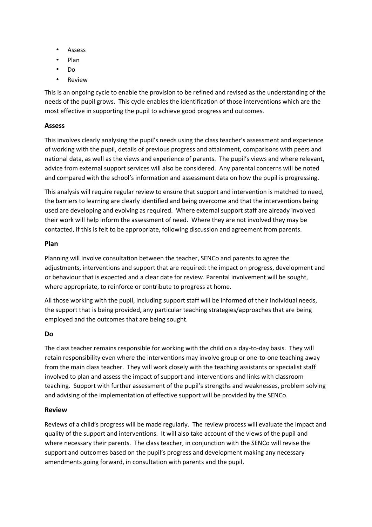- Assess
- Plan
- Do
- Review

This is an ongoing cycle to enable the provision to be refined and revised as the understanding of the needs of the pupil grows. This cycle enables the identification of those interventions which are the most effective in supporting the pupil to achieve good progress and outcomes.

# **Assess**

This involves clearly analysing the pupil's needs using the class teacher's assessment and experience of working with the pupil, details of previous progress and attainment, comparisons with peers and national data, as well as the views and experience of parents. The pupil's views and where relevant, advice from external support services will also be considered. Any parental concerns will be noted and compared with the school's information and assessment data on how the pupil is progressing.

This analysis will require regular review to ensure that support and intervention is matched to need, the barriers to learning are clearly identified and being overcome and that the interventions being used are developing and evolving as required. Where external support staff are already involved their work will help inform the assessment of need. Where they are not involved they may be contacted, if this is felt to be appropriate, following discussion and agreement from parents.

#### **Plan**

Planning will involve consultation between the teacher, SENCo and parents to agree the adjustments, interventions and support that are required: the impact on progress, development and or behaviour that is expected and a clear date for review. Parental involvement will be sought, where appropriate, to reinforce or contribute to progress at home.

All those working with the pupil, including support staff will be informed of their individual needs, the support that is being provided, any particular teaching strategies/approaches that are being employed and the outcomes that are being sought.

#### **Do**

The class teacher remains responsible for working with the child on a day-to-day basis. They will retain responsibility even where the interventions may involve group or one-to-one teaching away from the main class teacher. They will work closely with the teaching assistants or specialist staff involved to plan and assess the impact of support and interventions and links with classroom teaching. Support with further assessment of the pupil's strengths and weaknesses, problem solving and advising of the implementation of effective support will be provided by the SENCo.

#### **Review**

Reviews of a child's progress will be made regularly. The review process will evaluate the impact and quality of the support and interventions. It will also take account of the views of the pupil and where necessary their parents. The class teacher, in conjunction with the SENCo will revise the support and outcomes based on the pupil's progress and development making any necessary amendments going forward, in consultation with parents and the pupil.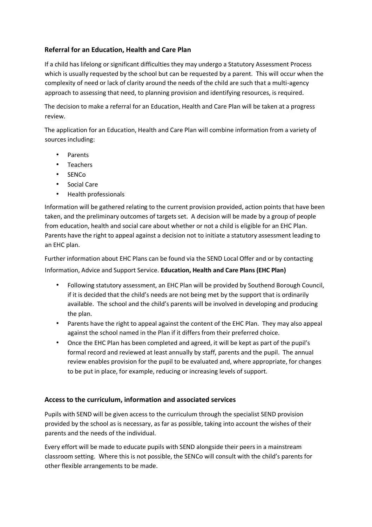# **Referral for an Education, Health and Care Plan**

If a child has lifelong or significant difficulties they may undergo a Statutory Assessment Process which is usually requested by the school but can be requested by a parent. This will occur when the complexity of need or lack of clarity around the needs of the child are such that a multi-agency approach to assessing that need, to planning provision and identifying resources, is required.

The decision to make a referral for an Education, Health and Care Plan will be taken at a progress review.

The application for an Education, Health and Care Plan will combine information from a variety of sources including:

- **Parents**
- Teachers
- SENCo
- Social Care
- Health professionals

Information will be gathered relating to the current provision provided, action points that have been taken, and the preliminary outcomes of targets set. A decision will be made by a group of people from education, health and social care about whether or not a child is eligible for an EHC Plan. Parents have the right to appeal against a decision not to initiate a statutory assessment leading to an EHC plan.

Further information about EHC Plans can be found via the SEND Local Offer and or by contacting Information, Advice and Support Service. **Education, Health and Care Plans (EHC Plan)** 

- Following statutory assessment, an EHC Plan will be provided by Southend Borough Council, if it is decided that the child's needs are not being met by the support that is ordinarily available. The school and the child's parents will be involved in developing and producing the plan.
- Parents have the right to appeal against the content of the EHC Plan. They may also appeal against the school named in the Plan if it differs from their preferred choice.
- Once the EHC Plan has been completed and agreed, it will be kept as part of the pupil's formal record and reviewed at least annually by staff, parents and the pupil. The annual review enables provision for the pupil to be evaluated and, where appropriate, for changes to be put in place, for example, reducing or increasing levels of support.

#### **Access to the curriculum, information and associated services**

Pupils with SEND will be given access to the curriculum through the specialist SEND provision provided by the school as is necessary, as far as possible, taking into account the wishes of their parents and the needs of the individual.

Every effort will be made to educate pupils with SEND alongside their peers in a mainstream classroom setting. Where this is not possible, the SENCo will consult with the child's parents for other flexible arrangements to be made.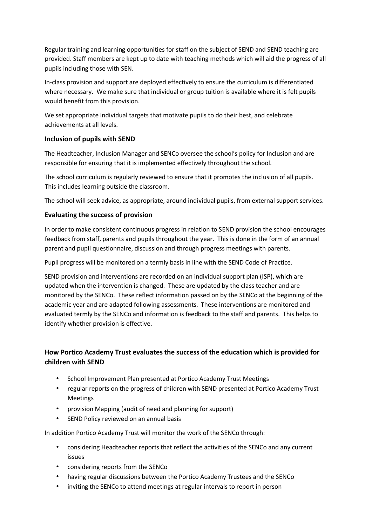Regular training and learning opportunities for staff on the subject of SEND and SEND teaching are provided. Staff members are kept up to date with teaching methods which will aid the progress of all pupils including those with SEN.

In-class provision and support are deployed effectively to ensure the curriculum is differentiated where necessary. We make sure that individual or group tuition is available where it is felt pupils would benefit from this provision.

We set appropriate individual targets that motivate pupils to do their best, and celebrate achievements at all levels.

# **Inclusion of pupils with SEND**

The Headteacher, Inclusion Manager and SENCo oversee the school's policy for Inclusion and are responsible for ensuring that it is implemented effectively throughout the school.

The school curriculum is regularly reviewed to ensure that it promotes the inclusion of all pupils. This includes learning outside the classroom.

The school will seek advice, as appropriate, around individual pupils, from external support services.

# **Evaluating the success of provision**

In order to make consistent continuous progress in relation to SEND provision the school encourages feedback from staff, parents and pupils throughout the year. This is done in the form of an annual parent and pupil questionnaire, discussion and through progress meetings with parents.

Pupil progress will be monitored on a termly basis in line with the SEND Code of Practice.

SEND provision and interventions are recorded on an individual support plan (ISP), which are updated when the intervention is changed. These are updated by the class teacher and are monitored by the SENCo. These reflect information passed on by the SENCo at the beginning of the academic year and are adapted following assessments. These interventions are monitored and evaluated termly by the SENCo and information is feedback to the staff and parents. This helps to identify whether provision is effective.

# **How Portico Academy Trust evaluates the success of the education which is provided for children with SEND**

- School Improvement Plan presented at Portico Academy Trust Meetings
- regular reports on the progress of children with SEND presented at Portico Academy Trust Meetings
- provision Mapping (audit of need and planning for support)
- SEND Policy reviewed on an annual basis

In addition Portico Academy Trust will monitor the work of the SENCo through:

- considering Headteacher reports that reflect the activities of the SENCo and any current issues
- considering reports from the SENCo
- having regular discussions between the Portico Academy Trustees and the SENCo
- inviting the SENCo to attend meetings at regular intervals to report in person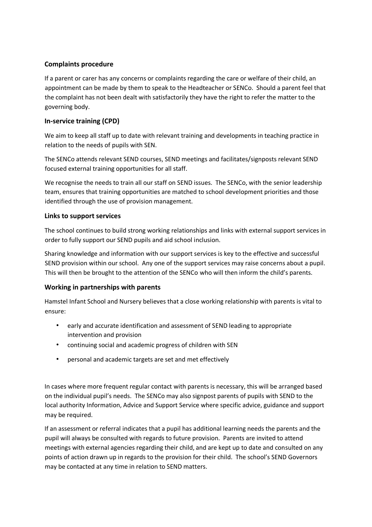# **Complaints procedure**

If a parent or carer has any concerns or complaints regarding the care or welfare of their child, an appointment can be made by them to speak to the Headteacher or SENCo. Should a parent feel that the complaint has not been dealt with satisfactorily they have the right to refer the matter to the governing body.

# **In-service training (CPD)**

We aim to keep all staff up to date with relevant training and developments in teaching practice in relation to the needs of pupils with SEN.

The SENCo attends relevant SEND courses, SEND meetings and facilitates/signposts relevant SEND focused external training opportunities for all staff.

We recognise the needs to train all our staff on SEND issues. The SENCo, with the senior leadership team, ensures that training opportunities are matched to school development priorities and those identified through the use of provision management.

#### **Links to support services**

The school continues to build strong working relationships and links with external support services in order to fully support our SEND pupils and aid school inclusion.

Sharing knowledge and information with our support services is key to the effective and successful SEND provision within our school. Any one of the support services may raise concerns about a pupil. This will then be brought to the attention of the SENCo who will then inform the child's parents.

#### **Working in partnerships with parents**

Hamstel Infant School and Nursery believes that a close working relationship with parents is vital to ensure:

- early and accurate identification and assessment of SEND leading to appropriate intervention and provision
- continuing social and academic progress of children with SEN
- personal and academic targets are set and met effectively

In cases where more frequent regular contact with parents is necessary, this will be arranged based on the individual pupil's needs. The SENCo may also signpost parents of pupils with SEND to the local authority Information, Advice and Support Service where specific advice, guidance and support may be required.

If an assessment or referral indicates that a pupil has additional learning needs the parents and the pupil will always be consulted with regards to future provision. Parents are invited to attend meetings with external agencies regarding their child, and are kept up to date and consulted on any points of action drawn up in regards to the provision for their child. The school's SEND Governors may be contacted at any time in relation to SEND matters.